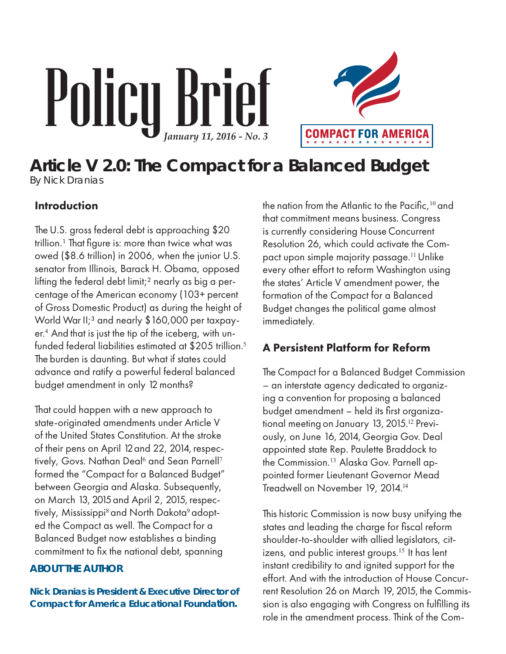# Policy Brief *January 11, 2016 - No. 3*



#### **Article V 2.0: The Compact for a Balanced Budget** By Nick Dranias

#### Introduction

The U.S. gross federal debt is approaching \$20 trillion.<sup>1</sup> That figure is: more than twice what was owed (\$8.6 trillion) in 2006, when the junior U.S. senator from Illinois, Barack H. Obama, opposed lifting the federal debt limit; $^2$  nearly as big a percentage of the American economy (103+ percent of Gross Domestic Product) as during the height of World War II;<sup>3</sup> and nearly \$160,000 per taxpayer.4 And that is just the tip of the iceberg, with unfunded federal liabilities estimated at \$205 trillion.<sup>5</sup> The burden is daunting. But what if states could advance and ratify a powerful federal balanced budget amendment in only 12 months?

That could happen with a new approach to state-originated amendments under Article V of the United States Constitution. At the stroke of their pens on April 12 and 22, 2014, respectively, Govs. Nathan Deal<sup>6</sup> and Sean Parnell<sup>7</sup> formed the "Compact for a Balanced Budget" between Georgia and Alaska. Subsequently, on March 13, 2015 and April 2, 2015, respectively, Mississippi<sup>8</sup> and North Dakota<sup>9</sup> adopted the Compact as well. The Compact for a Balanced Budget now establishes a binding commitment to fix the national debt, spanning

#### **ABOUT THE AUTHOR**

**Nick Dranias is President & Executive Director of Compact for America Educational Foundation.**

the nation from the Atlantic to the Pacific,  $10$  and that commitment means business. Congress is currently considering House Concurrent Resolution 26, which could activate the Compact upon simple majority passage.<sup>11</sup> Unlike every other effort to reform Washington using the states' Article V amendment power, the formation of the Compact for a Balanced Budget changes the political game almost immediately.

#### A Persistent Platform for Reform

The Compact for a Balanced Budget Commission – an interstate agency dedicated to organizing a convention for proposing a balanced budget amendment – held its first organizational meeting on January 13, 2015.12 Previously, on June 16, 2014, Georgia Gov. Deal appointed state Rep. Paulette Braddock to the Commission.13 Alaska Gov. Parnell appointed former Lieutenant Governor Mead Treadwell on November 19, 2014.<sup>14</sup>

This historic Commission is now busy unifying the states and leading the charge for fiscal reform shoulder-to-shoulder with allied legislators, citizens, and public interest groups.<sup>15</sup> It has lent instant credibility to and ignited support for the effort. And with the introduction of House Concurrent Resolution 26 on March 19, 2015, the Commission is also engaging with Congress on fulfilling its role in the amendment process. Think of the Com-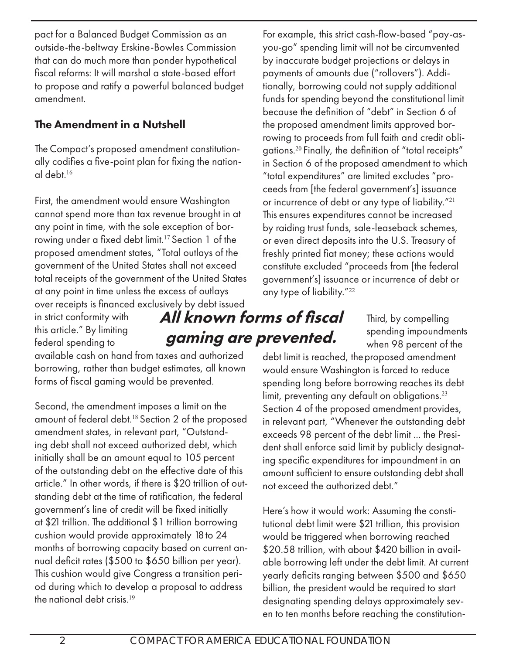pact for a Balanced Budget Commission as an outside-the-beltway Erskine-Bowles Commission that can do much more than ponder hypothetical fiscal reforms: It will marshal a state-based effort to propose and ratify a powerful balanced budget amendment.

#### The Amendment in a Nutshell

The Compact's proposed amendment constitutionally codifies a five-point plan for fixing the national debt.<sup>16</sup>

First, the amendment would ensure Washington cannot spend more than tax revenue brought in at any point in time, with the sole exception of borrowing under a fixed debt limit.<sup>17</sup> Section 1 of the proposed amendment states, "Total outlays of the government of the United States shall not exceed total receipts of the government of the United States at any point in time unless the excess of outlays over receipts is financed exclusively by debt issued

in strict conformity with this article." By limiting federal spending to

All known forms of fiscal gaming are prevented.

any type of liability."<sup>22</sup>

Third, by compelling spending impoundments when 98 percent of the

debt limit is reached, the proposed amendment would ensure Washington is forced to reduce spending long before borrowing reaches its debt limit, preventing any default on obligations.<sup>23</sup> Section 4 of the proposed amendment provides, in relevant part, "Whenever the outstanding debt exceeds 98 percent of the debt limit ... the President shall enforce said limit by publicly designating specific expenditures for impoundment in an amount sufficient to ensure outstanding debt shall not exceed the authorized debt."

For example, this strict cash-flow-based "pay-asyou-go" spending limit will not be circumvented by inaccurate budget projections or delays in payments of amounts due ("rollovers"). Additionally, borrowing could not supply additional funds for spending beyond the constitutional limit because the definition of "debt" in Section 6 of the proposed amendment limits approved borrowing to proceeds from full faith and credit obligations.<sup>20</sup> Finally, the definition of "total receipts" in Section 6 of the proposed amendment to which "total expenditures" are limited excludes "proceeds from [the federal government's] issuance or incurrence of debt or any type of liability."<sup>21</sup> This ensures expenditures cannot be increased by raiding trust funds, sale-leaseback schemes, or even direct deposits into the U.S. Treasury of freshly printed fiat money; these actions would constitute excluded "proceeds from [the federal government's] issuance or incurrence of debt or

Here's how it would work: Assuming the constitutional debt limit were \$21 trillion, this provision would be triggered when borrowing reached \$20.58 trillion, with about \$420 billion in available borrowing left under the debt limit. At current yearly deficits ranging between \$500 and \$650 billion, the president would be required to start designating spending delays approximately seven to ten months before reaching the constitution-

# available cash on hand from taxes and authorized

borrowing, rather than budget estimates, all known forms of fiscal gaming would be prevented.

Second, the amendment imposes a limit on the amount of federal debt.<sup>18</sup>Section 2 of the proposed amendment states, in relevant part, "Outstanding debt shall not exceed authorized debt, which initially shall be an amount equal to 105 percent of the outstanding debt on the effective date of this article." In other words, if there is \$20 trillion of outstanding debt at the time of ratification, the federal government's line of credit will be fixed initially at \$21 trillion. The additional \$1 trillion borrowing cushion would provide approximately 18 to 24 months of borrowing capacity based on current annual deficit rates (\$500 to \$650 billion per year). This cushion would give Congress a transition period during which to develop a proposal to address the national debt crisis.<sup>19</sup>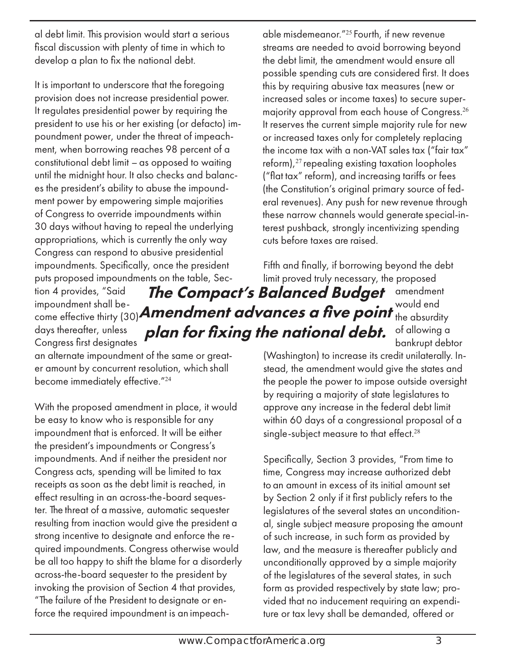al debt limit. This provision would start a serious fiscal discussion with plenty of time in which to develop a plan to fix the national debt.

It is important to underscore that the foregoing provision does not increase presidential power. It regulates presidential power by requiring the president to use his or her existing (or defacto) impoundment power, under the threat of impeachment, when borrowing reaches 98 percent of a constitutional debt limit – as opposed to waiting until the midnight hour. It also checks and balances the president's ability to abuse the impoundment power by empowering simple majorities of Congress to override impoundments within 30 days without having to repeal the underlying appropriations, which is currently the only way Congress can respond to abusive presidential impoundments. Specifically, once the president puts proposed impoundments on the table, Secable misdemeanor.<sup>"25</sup> Fourth, if new revenue streams are needed to avoid borrowing beyond the debt limit, the amendment would ensure all possible spending cuts are considered first. It does this by requiring abusive tax measures (new or increased sales or income taxes) to secure supermajority approval from each house of Congress.<sup>26</sup> It reserves the current simple majority rule for new or increased taxes only for completely replacing the income tax with a non-VAT sales tax ("fair tax"  $reform$ ), $27$  repealing existing taxation loopholes ("flat tax" reform), and increasing tariffs or fees (the Constitution's original primary source of federal revenues). Any push for new revenue through these narrow channels would generate special-interest pushback, strongly incentivizing spending cuts before taxes are raised.

Fifth and finally, if borrowing beyond the debt limit proved truly necessary, the proposed

would end

The Compact's Balanced Budget **amendment** 

mpomaniem shan be- $\epsilon$  and  $\epsilon$  and  $\epsilon$  and  $\epsilon$  and  $\epsilon$  and  $\epsilon$  and  $\epsilon$  and  $\epsilon$   $\epsilon$  and  $\epsilon$   $\epsilon$  and  $\epsilon$  and  $\epsilon$  and  $\epsilon$  and  $\epsilon$  and  $\epsilon$  and  $\epsilon$  and  $\epsilon$  and  $\epsilon$  and  $\epsilon$  and  $\epsilon$  and  $\epsilon$  and  $\epsilon$  and  $\epsilon$ tion 4 provides, "Said impoundment shall bedays thereafter, unless Congress first designates

an alternate impoundment of the same or greater amount by concurrent resolution, which shall become immediately effective."<sup>24</sup>

With the proposed amendment in place, it would be easy to know who is responsible for any impoundment that is enforced. It will be either the president's impoundments or Congress's impoundments. And if neither the president nor Congress acts, spending will be limited to tax receipts as soon as the debt limit is reached, in effect resulting in an across-the-board sequester. The threat of a massive, automatic sequester resulting from inaction would give the president a strong incentive to designate and enforce the required impoundments. Congress otherwise would be all too happy to shift the blame for a disorderly across-the-board sequester to the president by invoking the provision of Section 4 that provides, "The failure of the President to designate or enforce the required impoundment is an impeach-

of allowing a bankrupt debtor (Washington) to increase its credit unilaterally. Instead, the amendment would give the states and the people the power to impose outside oversight by requiring a majority of state legislatures to approve any increase in the federal debt limit within 60 days of a congressional proposal of a single-subject measure to that effect.<sup>28</sup> plan for fixing the national debt.

> Specifically, Section 3 provides, "From time to time, Congress may increase authorized debt to an amount in excess of its initial amount set by Section 2 only if it first publicly refers to the legislatures of the several states an unconditional, single subject measure proposing the amount of such increase, in such form as provided by law, and the measure is thereafter publicly and unconditionally approved by a simple majority of the legislatures of the several states, in such form as provided respectively by state law; provided that no inducement requiring an expenditure or tax levy shall be demanded, offered or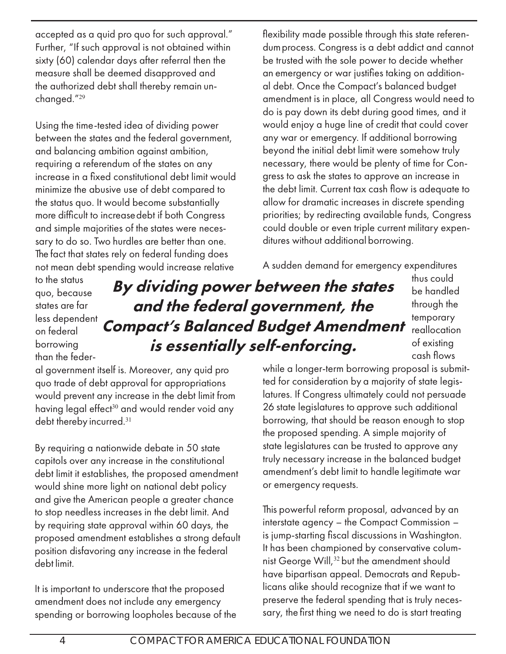accepted as a quid pro quo for such approval." Further, "If such approval is not obtained within sixty (60) calendar days after referral then the measure shall be deemed disapproved and the authorized debt shall thereby remain unchanged."<sup>29</sup>

Using the time-tested idea of dividing power between the states and the federal government, and balancing ambition against ambition, requiring a referendum of the states on any increase in a fixed constitutional debt limit would minimize the abusive use of debt compared to the status quo. It would become substantially more difficult to increase debt if both Congress and simple majorities of the states were necessary to do so. Two hurdles are better than one. The fact that states rely on federal funding does not mean debt spending would increase relative

flexibility made possible through this state referendum process. Congress is a debt addict and cannot be trusted with the sole power to decide whether an emergency or war justifies taking on additional debt. Once the Compact's balanced budget amendment is in place, all Congress would need to do is pay down its debt during good times, and it would enjoy a huge line of credit that could cover any war or emergency. If additional borrowing beyond the initial debt limit were somehow truly necessary, there would be plenty of time for Congress to ask the states to approve an increase in the debt limit. Current tax cash flow is adequate to allow for dramatic increases in discrete spending priorities; by redirecting available funds, Congress could double or even triple current military expenditures without additional borrowing.

A sudden demand for emergency expenditures

to the status quo, because states are far less dependent on federal borrowing than the feder-

### By dividing power between the states and the federal government, the Compact's Balanced Budget Amendment is essentially self-enforcing.

thus could be handled through the temporary reallocation of existing cash flows

al government itself is. Moreover, any quid pro quo trade of debt approval for appropriations would prevent any increase in the debt limit from having legal effect<sup>30</sup> and would render void any debt thereby incurred.<sup>31</sup>

By requiring a nationwide debate in 50 state capitols over any increase in the constitutional debt limit it establishes, the proposed amendment would shine more light on national debt policy and give the American people a greater chance to stop needless increases in the debt limit. And by requiring state approval within 60 days, the proposed amendment establishes a strong default position disfavoring any increase in the federal debt limit.

It is important to underscore that the proposed amendment does not include any emergency spending or borrowing loopholes because of the while a longer-term borrowing proposal is submitted for consideration by a majority of state legislatures. If Congress ultimately could not persuade 26 state legislatures to approve such additional borrowing, that should be reason enough to stop the proposed spending. A simple majority of state legislatures can be trusted to approve any truly necessary increase in the balanced budget amendment's debt limit to handle legitimate war or emergency requests.

This powerful reform proposal, advanced by an interstate agency – the Compact Commission – is jump-starting fiscal discussions in Washington. It has been championed by conservative columnist George Will,<sup>32</sup> but the amendment should have bipartisan appeal. Democrats and Republicans alike should recognize that if we want to preserve the federal spending that is truly necessary, the first thing we need to do is start treating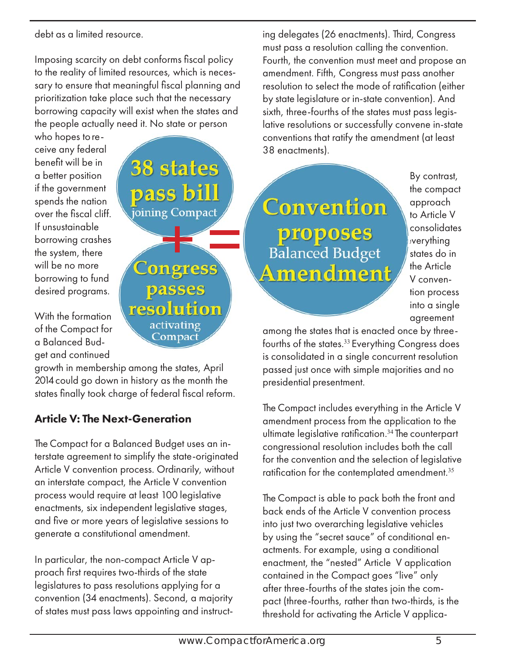debt as a limited resource.

Imposing scarcity on debt conforms fiscal policy to the reality of limited resources, which is necessary to ensure that meaningful fiscal planning and prioritization take place such that the necessary borrowing capacity will exist when the states and the people actually need it. No state or person

who hopes to receive any federal benefit will be in a better position if the government spends the nation over the fiscal cliff. If unsustainable borrowing crashes the system, there will be no more borrowing to fund desired programs.

With the formation of the Compact for a Balanced Budget and continued



growth in membership among the states, April 2014 could go down in history as the month the states finally took charge of federal fiscal reform.

#### Article V: The Next-Generation

The Compact for a Balanced Budget uses an interstate agreement to simplify the state-originated Article V convention process. Ordinarily, without an interstate compact, the Article V convention process would require at least 100 legislative enactments, six independent legislative stages, and five or more years of legislative sessions to generate a constitutional amendment.

In particular, the non-compact Article V approach first requires two-thirds of the state legislatures to pass resolutions applying for a convention (34 enactments). Second, a majority of states must pass laws appointing and instructing delegates (26 enactments). Third, Congress must pass a resolution calling the convention. Fourth, the convention must meet and propose an amendment. Fifth, Congress must pass another resolution to select the mode of ratification (either by state legislature or in-state convention). And sixth, three-fourths of the states must pass legislative resolutions or successfully convene in-state conventions that ratify the amendment (at least 38 enactments).

# Convention proposes **Balanced Budget** Amendment

By contrast, the compact t approach to Article V consolidates  $\sqrt{2}$ erything states do in the Article V conven-V tion process tinto a single agreement

among the states that is enacted once by threefourths of the states.<sup>33</sup> Everything Congress does is consolidated in a single concurrent resolution passed just once with simple majorities and no presidential presentment.

The Compact includes everything in the Article V amendment process from the application to the ultimate legislative ratification. $34$  The counterpart congressional resolution includes both the call for the convention and the selection of legislative ratification for the contemplated amendment.<sup>35</sup>

The Compact is able to pack both the front and back ends of the Article V convention process into just two overarching legislative vehicles by using the "secret sauce" of conditional enactments. For example, using a conditional enactment, the "nested" Article V application contained in the Compact goes "live" only after three-fourths of the states join the compact (three-fourths, rather than two-thirds, is the threshold for activating the Article V applica-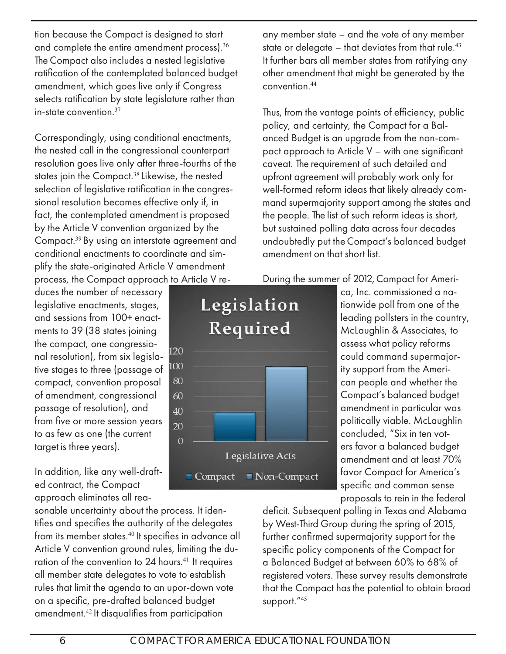tion because the Compact is designed to start and complete the entire amendment process).<sup>36</sup> The Compact also includes a nested legislative ratification of the contemplated balanced budget amendment, which goes live only if Congress selects ratification by state legislature rather than in-state convention.<sup>37</sup>

Correspondingly, using conditional enactments, the nested call in the congressional counterpart resolution goes live only after three-fourths of the states join the Compact.<sup>38</sup> Likewise, the nested selection of legislative ratification in the congressional resolution becomes effective only if, in fact, the contemplated amendment is proposed by the Article V convention organized by the Compact.<sup>39</sup>By using an interstate agreement and conditional enactments to coordinate and simplify the state-originated Article V amendment process, the Compact approach to Article V re-

duces the number of necessary legislative enactments, stages, and sessions from 100+ enactments to 39 (38 states joining the compact, one congressional resolution), from six legislative stages to three (passage of  $\frac{100}{100}$ compact, convention proposal of amendment, congressional passage of resolution), and from five or more session years to as few as one (the current target is three years).

In addition, like any well-drafted contract, the Compact approach eliminates all rea-

sonable uncertainty about the process. It identifies and specifies the authority of the delegates from its member states.<sup>40</sup> It specifies in advance all Article V convention ground rules, limiting the duration of the convention to 24 hours.<sup>41</sup> It requires all member state delegates to vote to establish rules that limit the agenda to an upor-down vote on a specific, pre-drafted balanced budget amendment.42 It disqualifies from participation

any member state – and the vote of any member state or delegate  $-$  that deviates from that rule.<sup>43</sup> It further bars all member states from ratifying any other amendment that might be generated by the convention.<sup>44</sup>

Thus, from the vantage points of efficiency, public policy, and certainty, the Compact for a Balanced Budget is an upgrade from the non-compact approach to Article V – with one significant caveat. The requirement of such detailed and upfront agreement will probably work only for well-formed reform ideas that likely already command supermajority support among the states and the people. The list of such reform ideas is short, but sustained polling data across four decades undoubtedly put the Compact's balanced budget amendment on that short list.

During the summer of 2012, Compact for Ameri-



ca, Inc. commissioned a nationwide poll from one of the leading pollsters in the country, McLaughlin & Associates, to assess what policy reforms could command supermajority support from the American people and whether the Compact's balanced budget amendment in particular was politically viable. McLaughlin concluded, "Six in ten voters favor a balanced budget amendment and at least 70% favor Compact for America's specific and common sense proposals to rein in the federal

deficit. Subsequent polling in Texas and Alabama by West-Third Group during the spring of 2015, further confirmed supermajority support for the specific policy components of the Compact for a Balanced Budget at between 60% to 68% of registered voters. These survey results demonstrate that the Compact has the potential to obtain broad support."<sup>45</sup>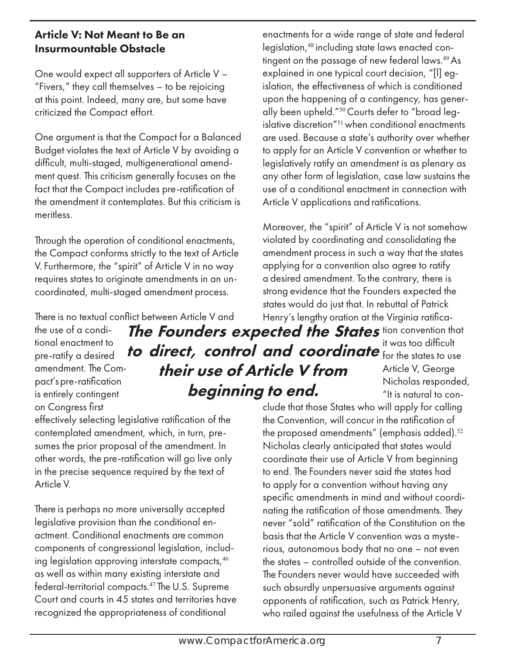#### Article V: Not Meant to Be an Insurmountable Obstacle

One would expect all supporters of Article V – "Fivers," they call themselves – to be rejoicing at this point. Indeed, many are, but some have criticized the Compact effort.

One argument is that the Compact for a Balanced Budget violates the text of Article V by avoiding a difficult, multi-staged, multigenerational amendment quest. This criticism generally focuses on the fact that the Compact includes pre-ratification of the amendment it contemplates. But this criticism is meritless.

Through the operation of conditional enactments, the Compact conforms strictly to the text of Article V. Furthermore, the "spirit" of Article V in no way requires states to originate amendments in an uncoordinated, multi-staged amendment process.

There is no textual conflict between Article V and

the use of a conditional enactment to pre-ratify a desired amendment. The Compact's pre-ratification is entirely contingent on Congress first

The Founders expected the States tion convention that *to direct, control and coordinate*  $_{\text{for the states to use}}$ their use of Article V from beginning to end.

effectively selecting legislative ratification of the contemplated amendment, which, in turn, presumes the prior proposal of the amendment. In other words, the pre-ratification will go live only in the precise sequence required by the text of Article V.

There is perhaps no more universally accepted legislative provision than the conditional enactment. Conditional enactments are common components of congressional legislation, including legislation approving interstate compacts, 46 as well as within many existing interstate and federal-territorial compacts.<sup>47</sup> The U.S. Supreme Court and courts in 45 states and territories have recognized the appropriateness of conditional

enactments for a wide range of state and federal legislation,<sup>48</sup> including state laws enacted contingent on the passage of new federal laws.<sup>49</sup> As explained in one typical court decision, "[l] egislation, the effectiveness of which is conditioned upon the happening of a contingency, has generally been upheld."50 Courts defer to "broad legislative discretion<sup>"51</sup> when conditional enactments are used. Because a state's authority over whether to apply for an Article V convention or whether to legislatively ratify an amendment is as plenary as any other form of legislation, case law sustains the use of a conditional enactment in connection with Article V applications and ratifications.

Moreover, the "spirit" of Article V is not somehow violated by coordinating and consolidating the amendment process in such a way that the states applying for a convention also agree to ratify a desired amendment. To the contrary, there is strong evidence that the Founders expected the states would do just that. In rebuttal of Patrick Henry's lengthy oration at the Virginia ratifica-

it was too difficult Article V, George Nicholas responded, "It is natural to con-

clude that those States who will apply for calling the Convention, will concur in the ratification of the proposed amendments" (emphasis added).<sup>52</sup> Nicholas clearly anticipated that states would coordinate their use of Article V from beginning to end. The Founders never said the states had to apply for a convention without having any specific amendments in mind and without coordinating the ratification of those amendments. They never "sold" ratification of the Constitution on the basis that the Article V convention was a mysterious, autonomous body that no one – not even the states – controlled outside of the convention. The Founders never would have succeeded with such absurdly unpersuasive arguments against opponents of ratification, such as Patrick Henry, who railed against the usefulness of the Article V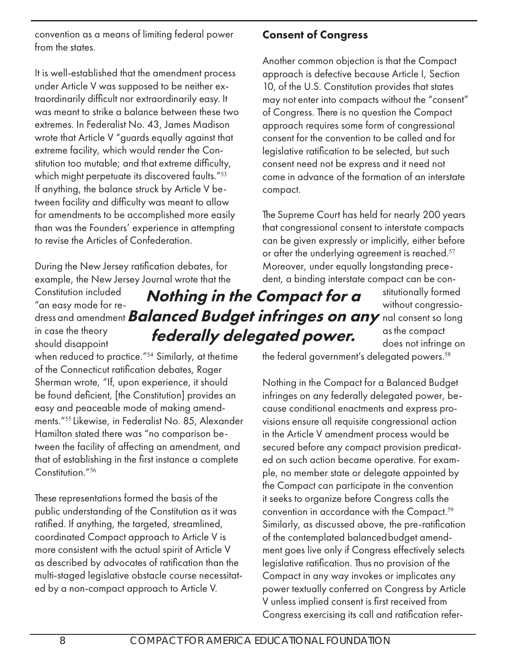convention as a means of limiting federal power from the states.

It is well-established that the amendment process under Article V was supposed to be neither extraordinarily difficult nor extraordinarily easy. It was meant to strike a balance between these two extremes. In Federalist No. 43, James Madison wrote that Article V "guards equally against that extreme facility, which would render the Constitution too mutable; and that extreme difficulty, which might perpetuate its discovered faults."<sup>53</sup> If anything, the balance struck by Article V between facility and difficulty was meant to allow for amendments to be accomplished more easily than was the Founders' experience in attempting to revise the Articles of Confederation.

During the New Jersey ratification debates, for example, the New Jersey Journal wrote that the

#### Consent of Congress

Another common objection is that the Compact approach is defective because Article I, Section 10, of the U.S. Constitution provides that states may not enter into compacts without the "consent" of Congress. There is no question the Compact approach requires some form of congressional consent for the convention to be called and for legislative ratification to be selected, but such consent need not be express and it need not come in advance of the formation of an interstate compact.

The Supreme Court has held for nearly 200 years that congressional consent to interstate compacts can be given expressly or implicitly, either before or after the underlying agreement is reached.<sup>57</sup> Moreover, under equally longstanding precedent, a binding interstate compact can be con-

#### dress and amendment **Balanced Budget infringes on any** nal consent so long Constitution included "an easy mode for rein case the theory should disappoint Nothing in the Compact for a federally delegated power.

stitutionally formed without congressioas the compact does not infringe on

when reduced to practice."<sup>54</sup> Similarly, at the time of the Connecticut ratification debates, Roger Sherman wrote, "If, upon experience, it should be found deficient, [the Constitution] provides an easy and peaceable mode of making amendments."<sup>55</sup>Likewise, in Federalist No. 85, Alexander Hamilton stated there was "no comparison between the facility of affecting an amendment, and that of establishing in the first instance a complete Constitution."<sup>56</sup>

These representations formed the basis of the public understanding of the Constitution as it was ratified. If anything, the targeted, streamlined, coordinated Compact approach to Article V is more consistent with the actual spirit of Article V as described by advocates of ratification than the multi-staged legislative obstacle course necessitated by a non-compact approach to Article V.

the federal government's delegated powers.<sup>58</sup>

Nothing in the Compact for a Balanced Budget infringes on any federally delegated power, because conditional enactments and express provisions ensure all requisite congressional action in the Article V amendment process would be secured before any compact provision predicated on such action became operative. For example, no member state or delegate appointed by the Compact can participate in the convention it seeks to organize before Congress calls the convention in accordance with the Compact.<sup>59</sup> Similarly, as discussed above, the pre-ratification of the contemplated balanced budget amendment goes live only if Congress effectively selects legislative ratification. Thus no provision of the Compact in any way invokes or implicates any power textually conferred on Congress by Article V unless implied consent is first received from Congress exercising its call and ratification refer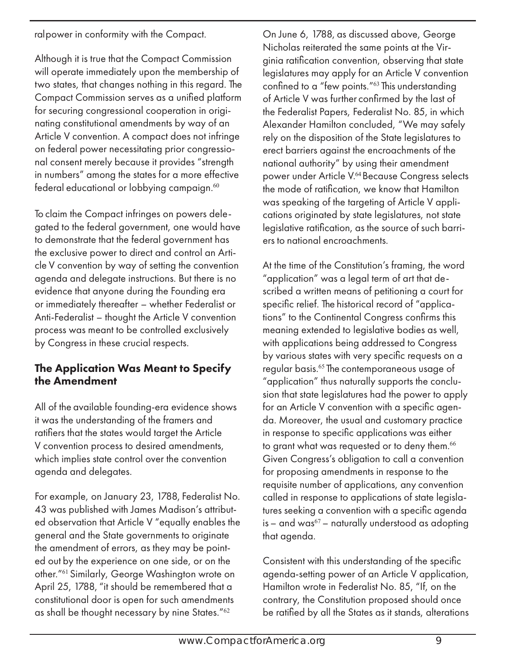ral power in conformity with the Compact.

Although it is true that the Compact Commission will operate immediately upon the membership of two states, that changes nothing in this regard. The Compact Commission serves as a unified platform for securing congressional cooperation in originating constitutional amendments by way of an Article V convention. A compact does not infringe on federal power necessitating prior congressional consent merely because it provides "strength in numbers" among the states for a more effective federal educational or lobbying campaign.<sup>60</sup>

To claim the Compact infringes on powers delegated to the federal government, one would have to demonstrate that the federal government has the exclusive power to direct and control an Article V convention by way of setting the convention agenda and delegate instructions. But there is no evidence that anyone during the Founding era or immediately thereafter – whether Federalist or Anti-Federalist – thought the Article V convention process was meant to be controlled exclusively by Congress in these crucial respects.

#### The Application Was Meant to Specify the Amendment

All of the available founding-era evidence shows it was the understanding of the framers and ratifiers that the states would target the Article V convention process to desired amendments, which implies state control over the convention agenda and delegates.

For example, on January 23, 1788, Federalist No. 43 was published with James Madison's attributed observation that Article V "equally enables the general and the State governments to originate the amendment of errors, as they may be pointed out by the experience on one side, or on the other."<sup>61</sup> Similarly, George Washington wrote on April 25, 1788, "it should be remembered that a constitutional door is open for such amendments as shall be thought necessary by nine States."62

On June 6, 1788, as discussed above, George Nicholas reiterated the same points at the Virginia ratification convention, observing that state legislatures may apply for an Article V convention confined to a "few points."<sup>63</sup> This understanding of Article V was further confirmed by the last of the Federalist Papers, Federalist No. 85, in which Alexander Hamilton concluded, "We may safely rely on the disposition of the State legislatures to erect barriers against the encroachments of the national authority" by using their amendment power under Article V.<sup>64</sup> Because Congress selects the mode of ratification, we know that Hamilton was speaking of the targeting of Article V applications originated by state legislatures, not state legislative ratification, as the source of such barriers to national encroachments.

At the time of the Constitution's framing, the word "application" was a legal term of art that described a written means of petitioning a court for specific relief. The historical record of "applications" to the Continental Congress confirms this meaning extended to legislative bodies as well, with applications being addressed to Congress by various states with very specific requests on a regular basis.<sup>65</sup> The contemporaneous usage of "application" thus naturally supports the conclusion that state legislatures had the power to apply for an Article V convention with a specific agenda. Moreover, the usual and customary practice in response to specific applications was either to grant what was requested or to deny them.<sup>66</sup> Given Congress's obligation to call a convention for proposing amendments in response to the requisite number of applications, any convention called in response to applications of state legislatures seeking a convention with a specific agenda is – and was $67$  – naturally understood as adopting that agenda.

Consistent with this understanding of the specific agenda-setting power of an Article V application, Hamilton wrote in Federalist No. 85, "If, on the contrary, the Constitution proposed should once be ratified by all the States as it stands, alterations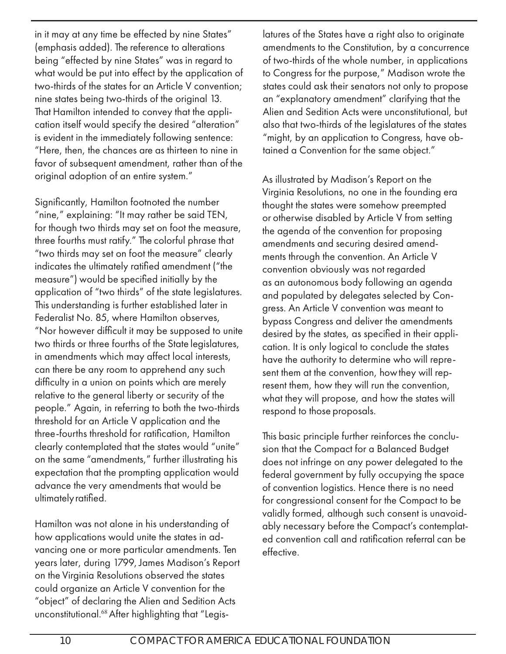in it may at any time be effected by nine States" (emphasis added). The reference to alterations being "effected by nine States" was in regard to what would be put into effect by the application of two-thirds of the states for an Article V convention; nine states being two-thirds of the original 13. That Hamilton intended to convey that the application itself would specify the desired "alteration" is evident in the immediately following sentence: "Here, then, the chances are as thirteen to nine in favor of subsequent amendment, rather than of the original adoption of an entire system."

Significantly, Hamilton footnoted the number "nine," explaining: "It may rather be said TEN, for though two thirds may set on foot the measure, three fourths must ratify." The colorful phrase that "two thirds may set on foot the measure" clearly indicates the ultimately ratified amendment ("the measure") would be specified initially by the application of "two thirds" of the state legislatures. This understanding is further established later in Federalist No. 85, where Hamilton observes, "Nor however difficult it may be supposed to unite two thirds or three fourths of the State legislatures, in amendments which may affect local interests, can there be any room to apprehend any such difficulty in a union on points which are merely relative to the general liberty or security of the people." Again, in referring to both the two-thirds threshold for an Article V application and the three-fourths threshold for ratification, Hamilton clearly contemplated that the states would "unite" on the same "amendments," further illustrating his expectation that the prompting application would advance the very amendments that would be ultimately ratified.

Hamilton was not alone in his understanding of how applications would unite the states in advancing one or more particular amendments. Ten years later, during 1799, James Madison's Report on the Virginia Resolutions observed the states could organize an Article V convention for the "object" of declaring the Alien and Sedition Acts unconstitutional.68 After highlighting that "Legis-

latures of the States have a right also to originate amendments to the Constitution, by a concurrence of two-thirds of the whole number, in applications to Congress for the purpose," Madison wrote the states could ask their senators not only to propose an "explanatory amendment" clarifying that the Alien and Sedition Acts were unconstitutional, but also that two-thirds of the legislatures of the states "might, by an application to Congress, have obtained a Convention for the same object."

As illustrated by Madison's Report on the Virginia Resolutions, no one in the founding era thought the states were somehow preempted or otherwise disabled by Article V from setting the agenda of the convention for proposing amendments and securing desired amendments through the convention. An Article V convention obviously was not regarded as an autonomous body following an agenda and populated by delegates selected by Congress. An Article V convention was meant to bypass Congress and deliver the amendments desired by the states, as specified in their application. It is only logical to conclude the states have the authority to determine who will represent them at the convention, how they will represent them, how they will run the convention, what they will propose, and how the states will respond to those proposals.

This basic principle further reinforces the conclusion that the Compact for a Balanced Budget does not infringe on any power delegated to the federal government by fully occupying the space of convention logistics. Hence there is no need for congressional consent for the Compact to be validly formed, although such consent is unavoidably necessary before the Compact's contemplated convention call and ratification referral can be effective.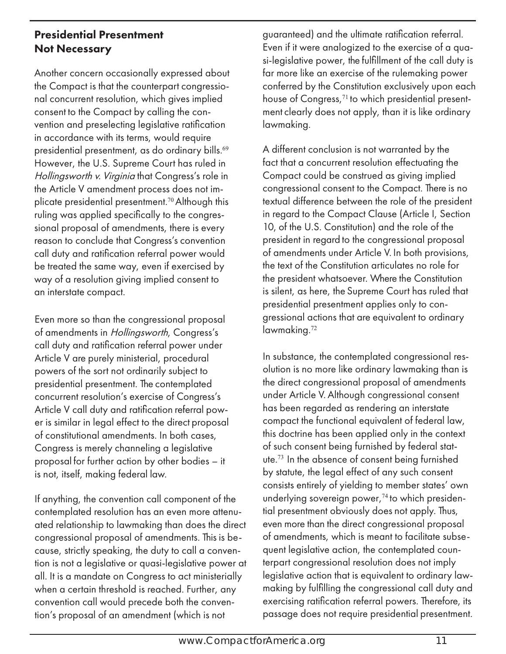#### Presidential Presentment Not Necessary

Another concern occasionally expressed about the Compact is that the counterpart congressional concurrent resolution, which gives implied consent to the Compact by calling the convention and preselecting legislative ratification in accordance with its terms, would require presidential presentment, as do ordinary bills.<sup>69</sup> However, the U.S. Supreme Court has ruled in Hollingsworth v. Virginia that Congress's role in the Article V amendment process does not implicate presidential presentment.<sup>70</sup>Although this ruling was applied specifically to the congressional proposal of amendments, there is every reason to conclude that Congress's convention call duty and ratification referral power would be treated the same way, even if exercised by way of a resolution giving implied consent to an interstate compact.

Even more so than the congressional proposal of amendments in Hollingsworth, Congress's call duty and ratification referral power under Article V are purely ministerial, procedural powers of the sort not ordinarily subject to presidential presentment. The contemplated concurrent resolution's exercise of Congress's Article V call duty and ratification referral power is similar in legal effect to the direct proposal of constitutional amendments. In both cases, Congress is merely channeling a legislative proposal for further action by other bodies – it is not, itself, making federal law.

If anything, the convention call component of the contemplated resolution has an even more attenuated relationship to lawmaking than does the direct congressional proposal of amendments. This is because, strictly speaking, the duty to call a convention is not a legislative or quasi-legislative power at all. It is a mandate on Congress to act ministerially when a certain threshold is reached. Further, any convention call would precede both the convention's proposal of an amendment (which is not

guaranteed) and the ultimate ratification referral. Even if it were analogized to the exercise of a quasi-legislative power, the fulfillment of the call duty is far more like an exercise of the rulemaking power conferred by the Constitution exclusively upon each house of Congress, <sup>71</sup> to which presidential presentment clearly does not apply, than it is like ordinary lawmaking.

A different conclusion is not warranted by the fact that a concurrent resolution effectuating the Compact could be construed as giving implied congressional consent to the Compact. There is no textual difference between the role of the president in regard to the Compact Clause (Article I, Section 10, of the U.S. Constitution) and the role of the president in regard to the congressional proposal of amendments under Article V. In both provisions, the text of the Constitution articulates no role for the president whatsoever. Where the Constitution is silent, as here, the Supreme Court has ruled that presidential presentment applies only to congressional actions that are equivalent to ordinary lawmaking.<sup>72</sup>

In substance, the contemplated congressional resolution is no more like ordinary lawmaking than is the direct congressional proposal of amendments under Article V. Although congressional consent has been regarded as rendering an interstate compact the functional equivalent of federal law, this doctrine has been applied only in the context of such consent being furnished by federal statute. $73$  In the absence of consent being furnished by statute, the legal effect of any such consent consists entirely of yielding to member states' own underlying sovereign power,<sup>74</sup> to which presidential presentment obviously does not apply. Thus, even more than the direct congressional proposal of amendments, which is meant to facilitate subsequent legislative action, the contemplated counterpart congressional resolution does not imply legislative action that is equivalent to ordinary lawmaking by fulfilling the congressional call duty and exercising ratification referral powers. Therefore, its passage does not require presidential presentment.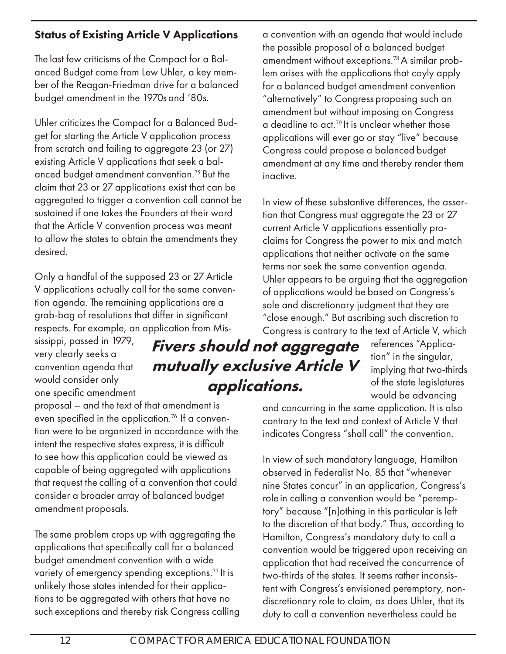#### Status of Existing Article V Applications

The last few criticisms of the Compact for a Balanced Budget come from Lew Uhler, a key member of the Reagan-Friedman drive for a balanced budget amendment in the 1970s and '80s.

Uhler criticizes the Compact for a Balanced Budget for starting the Article V application process from scratch and failing to aggregate 23 (or 27) existing Article V applications that seek a balanced budget amendment convention.<sup>75</sup> But the claim that 23 or 27 applications exist that can be aggregated to trigger a convention call cannot be sustained if one takes the Founders at their word that the Article V convention process was meant to allow the states to obtain the amendments they desired.

Only a handful of the supposed 23 or 27 Article V applications actually call for the same convention agenda. The remaining applications are a grab-bag of resolutions that differ in significant respects. For example, an application from Mis-

sissippi, passed in 1979, very clearly seeks a convention agenda that would consider only one specific amendment

proposal – and the text of that amendment is even specified in the application.<sup>76</sup> If a convention were to be organized in accordance with the intent the respective states express, it is difficult to see how this application could be viewed as capable of being aggregated with applications that request the calling of a convention that could consider a broader array of balanced budget amendment proposals.

The same problem crops up with aggregating the applications that specifically call for a balanced budget amendment convention with a wide variety of emergency spending exceptions.<sup>77</sup> It is unlikely those states intended for their applications to be aggregated with others that have no such exceptions and thereby risk Congress calling

Fivers should not aggregate mutually exclusive Article V applications.

a convention with an agenda that would include the possible proposal of a balanced budget amendment without exceptions.78 A similar problem arises with the applications that coyly apply for a balanced budget amendment convention "alternatively" to Congress proposing such an amendment but without imposing on Congress  $\alpha$  deadline to act.<sup>79</sup> It is unclear whether those applications will ever go or stay "live" because Congress could propose a balanced budget amendment at any time and thereby render them inactive.

In view of these substantive differences, the assertion that Congress must aggregate the 23 or 27 current Article V applications essentially proclaims for Congress the power to mix and match applications that neither activate on the same terms nor seek the same convention agenda. Uhler appears to be arguing that the aggregation of applications would be based on Congress's sole and discretionary judgment that they are "close enough." But ascribing such discretion to Congress is contrary to the text of Article V, which

references "Application" in the singular, implying that two-thirds of the state legislatures would be advancing

and concurring in the same application. It is also contrary to the text and context of Article V that indicates Congress "shall call" the convention.

In view of such mandatory language, Hamilton observed in Federalist No. 85 that "whenever nine States concur" in an application, Congress's role in calling a convention would be "peremptory" because "[n]othing in this particular is left to the discretion of that body." Thus, according to Hamilton, Congress's mandatory duty to call a convention would be triggered upon receiving an application that had received the concurrence of two-thirds of the states. It seems rather inconsistent with Congress's envisioned peremptory, nondiscretionary role to claim, as does Uhler, that its duty to call a convention nevertheless could be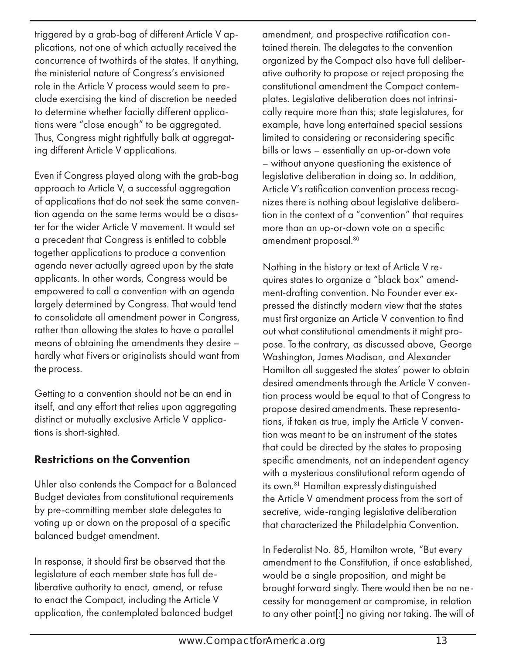triggered by a grab-bag of different Article V applications, not one of which actually received the concurrence of twothirds of the states. If anything, the ministerial nature of Congress's envisioned role in the Article V process would seem to preclude exercising the kind of discretion be needed to determine whether facially different applications were "close enough" to be aggregated. Thus, Congress might rightfully balk at aggregating different Article V applications.

Even if Congress played along with the grab-bag approach to Article V, a successful aggregation of applications that do not seek the same convention agenda on the same terms would be a disaster for the wider Article V movement. It would set a precedent that Congress is entitled to cobble together applications to produce a convention agenda never actually agreed upon by the state applicants. In other words, Congress would be empowered to call a convention with an agenda largely determined by Congress. That would tend to consolidate all amendment power in Congress, rather than allowing the states to have a parallel means of obtaining the amendments they desire – hardly what Fivers or originalists should want from the process.

Getting to a convention should not be an end in itself, and any effort that relies upon aggregating distinct or mutually exclusive Article V applications is short-sighted.

#### Restrictions on the Convention

Uhler also contends the Compact for a Balanced Budget deviates from constitutional requirements by pre-committing member state delegates to voting up or down on the proposal of a specific balanced budget amendment.

In response, it should first be observed that the legislature of each member state has full deliberative authority to enact, amend, or refuse to enact the Compact, including the Article V application, the contemplated balanced budget

amendment, and prospective ratification contained therein. The delegates to the convention organized by the Compact also have full deliberative authority to propose or reject proposing the constitutional amendment the Compact contemplates. Legislative deliberation does not intrinsically require more than this; state legislatures, for example, have long entertained special sessions limited to considering or reconsidering specific bills or laws – essentially an up-or-down vote – without anyone questioning the existence of legislative deliberation in doing so. In addition, Article V's ratification convention process recognizes there is nothing about legislative deliberation in the context of a "convention" that requires more than an up-or-down vote on a specific amendment proposal.<sup>80</sup>

Nothing in the history or text of Article V requires states to organize a "black box" amendment-drafting convention. No Founder ever expressed the distinctly modern view that the states must first organize an Article V convention to find out what constitutional amendments it might propose. To the contrary, as discussed above, George Washington, James Madison, and Alexander Hamilton all suggested the states' power to obtain desired amendments through the Article V convention process would be equal to that of Congress to propose desired amendments. These representations, if taken as true, imply the Article V convention was meant to be an instrument of the states that could be directed by the states to proposing specific amendments, not an independent agency with a mysterious constitutional reform agenda of its own.<sup>81</sup> Hamilton expressly distinguished the Article V amendment process from the sort of secretive, wide-ranging legislative deliberation that characterized the Philadelphia Convention.

In Federalist No. 85, Hamilton wrote, "But every amendment to the Constitution, if once established, would be a single proposition, and might be brought forward singly. There would then be no necessity for management or compromise, in relation to any other point[:] no giving nor taking. The will of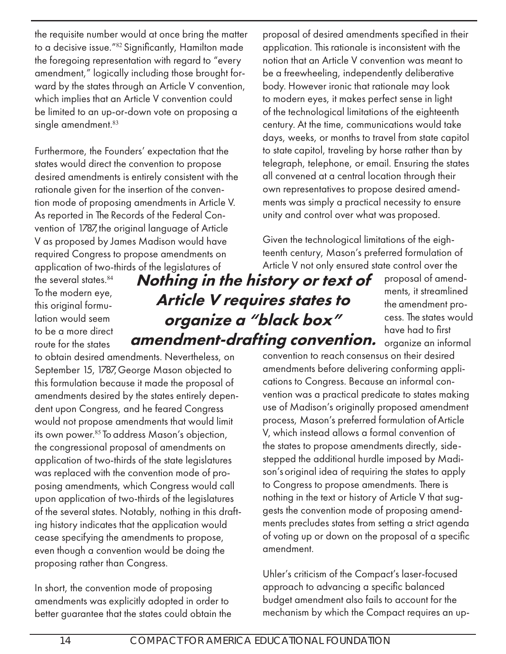the requisite number would at once bring the matter to a decisive issue."<sup>82</sup> Significantly, Hamilton made the foregoing representation with regard to "every amendment," logically including those brought forward by the states through an Article V convention, which implies that an Article V convention could be limited to an up-or-down vote on proposing a single amendment.<sup>83</sup>

Furthermore, the Founders' expectation that the states would direct the convention to propose desired amendments is entirely consistent with the rationale given for the insertion of the convention mode of proposing amendments in Article V. As reported in The Records of the Federal Convention of 1787, the original language of Article V as proposed by James Madison would have required Congress to propose amendments on application of two-thirds of the legislatures of

the several states.<sup>84</sup> To the modern eye, this original formulation would seem to be a more direct route for the states

amendment-drafting convention. **Figure an informal** Nothing in the history or text of Article V requires states to organize a "black box"

Article V not only ensured state control over the proposal of amendments, it streamlined the amendment process. The states would have had to first

to obtain desired amendments. Nevertheless, on September 15, 1787, George Mason objected to this formulation because it made the proposal of amendments desired by the states entirely dependent upon Congress, and he feared Congress would not propose amendments that would limit its own power.<sup>85</sup> To address Mason's objection, the congressional proposal of amendments on application of two-thirds of the state legislatures was replaced with the convention mode of proposing amendments, which Congress would call upon application of two-thirds of the legislatures of the several states. Notably, nothing in this drafting history indicates that the application would cease specifying the amendments to propose, even though a convention would be doing the proposing rather than Congress.

In short, the convention mode of proposing amendments was explicitly adopted in order to better guarantee that the states could obtain the convention to reach consensus on their desired amendments before delivering conforming applications to Congress. Because an informal convention was a practical predicate to states making use of Madison's originally proposed amendment process, Mason's preferred formulation of Article V, which instead allows a formal convention of the states to propose amendments directly, sidestepped the additional hurdle imposed by Madison's original idea of requiring the states to apply to Congress to propose amendments. There is nothing in the text or history of Article V that suggests the convention mode of proposing amendments precludes states from setting a strict agenda of voting up or down on the proposal of a specific amendment.

proposal of desired amendments specified in their application. This rationale is inconsistent with the notion that an Article V convention was meant to be a freewheeling, independently deliberative body. However ironic that rationale may look to modern eyes, it makes perfect sense in light of the technological limitations of the eighteenth century. At the time, communications would take days, weeks, or months to travel from state capitol to state capitol, traveling by horse rather than by telegraph, telephone, or email. Ensuring the states all convened at a central location through their own representatives to propose desired amendments was simply a practical necessity to ensure unity and control over what was proposed.

Given the technological limitations of the eighteenth century, Mason's preferred formulation of

Uhler's criticism of the Compact's laser-focused approach to advancing a specific balanced budget amendment also fails to account for the mechanism by which the Compact requires an up-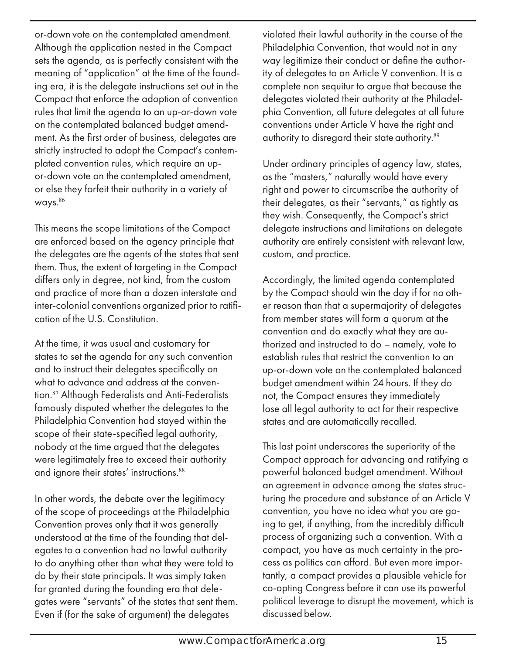or-down vote on the contemplated amendment. Although the application nested in the Compact sets the agenda, as is perfectly consistent with the meaning of "application" at the time of the founding era, it is the delegate instructions set out in the Compact that enforce the adoption of convention rules that limit the agenda to an up-or-down vote on the contemplated balanced budget amendment. As the first order of business, delegates are strictly instructed to adopt the Compact's contemplated convention rules, which require an upor-down vote on the contemplated amendment, or else they forfeit their authority in a variety of ways.<sup>86</sup>

This means the scope limitations of the Compact are enforced based on the agency principle that the delegates are the agents of the states that sent them. Thus, the extent of targeting in the Compact differs only in degree, not kind, from the custom and practice of more than a dozen interstate and inter-colonial conventions organized prior to ratification of the U.S. Constitution.

At the time, it was usual and customary for states to set the agenda for any such convention and to instruct their delegates specifically on what to advance and address at the convention.<sup>87</sup> Although Federalists and Anti-Federalists famously disputed whether the delegates to the Philadelphia Convention had stayed within the scope of their state-specified legal authority, nobody at the time argued that the delegates were legitimately free to exceed their authority and ignore their states' instructions.<sup>88</sup>

In other words, the debate over the legitimacy of the scope of proceedings at the Philadelphia Convention proves only that it was generally understood at the time of the founding that delegates to a convention had no lawful authority to do anything other than what they were told to do by their state principals. It was simply taken for granted during the founding era that delegates were "servants" of the states that sent them. Even if (for the sake of argument) the delegates

violated their lawful authority in the course of the Philadelphia Convention, that would not in any way legitimize their conduct or define the authority of delegates to an Article V convention. It is a complete non sequitur to argue that because the delegates violated their authority at the Philadelphia Convention, all future delegates at all future conventions under Article V have the right and authority to disregard their state authority.<sup>89</sup>

Under ordinary principles of agency law, states, as the "masters," naturally would have every right and power to circumscribe the authority of their delegates, as their "servants," as tightly as they wish. Consequently, the Compact's strict delegate instructions and limitations on delegate authority are entirely consistent with relevant law, custom, and practice.

Accordingly, the limited agenda contemplated by the Compact should win the day if for no other reason than that a supermajority of delegates from member states will form a quorum at the convention and do exactly what they are authorized and instructed to do – namely, vote to establish rules that restrict the convention to an up-or-down vote on the contemplated balanced budget amendment within 24 hours. If they do not, the Compact ensures they immediately lose all legal authority to act for their respective states and are automatically recalled.

This last point underscores the superiority of the Compact approach for advancing and ratifying a powerful balanced budget amendment. Without an agreement in advance among the states structuring the procedure and substance of an Article V convention, you have no idea what you are going to get, if anything, from the incredibly difficult process of organizing such a convention. With a compact, you have as much certainty in the process as politics can afford. But even more importantly, a compact provides a plausible vehicle for co-opting Congress before it can use its powerful political leverage to disrupt the movement, which is discussed below.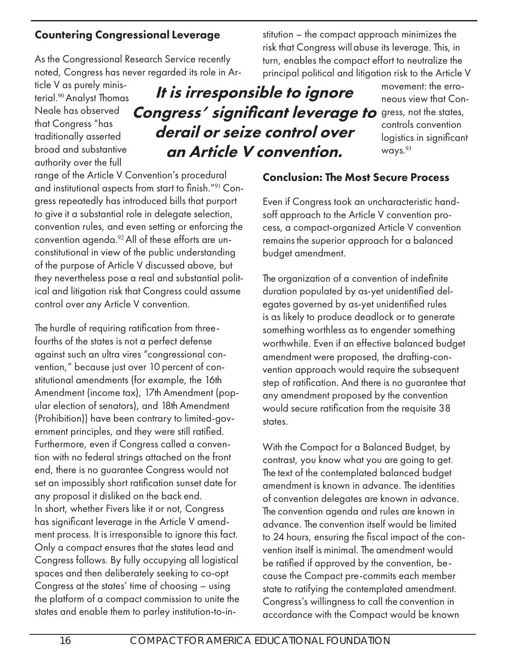#### Countering Congressional Leverage

As the Congressional Research Service recently noted, Congress has never regarded its role in Ar-

ticle V as purely ministerial.<sup>90</sup> Analyst Thomas Neale has observed that Congress "has traditionally asserted broad and substantive authority over the full

## Congress' significant leverage to gress, not the states, It is irresponsible to ignore derail or seize control over an Article V convention.

range of the Article V Convention's procedural and institutional aspects from start to finish."91 Congress repeatedly has introduced bills that purport to give it a substantial role in delegate selection, convention rules, and even setting or enforcing the convention agenda.92 All of these efforts are unconstitutional in view of the public understanding of the purpose of Article V discussed above, but they nevertheless pose a real and substantial political and litigation risk that Congress could assume control over any Article V convention.

The hurdle of requiring ratification from threefourths of the states is not a perfect defense against such an ultra vires "congressional convention," because just over 10 percent of constitutional amendments (for example, the 16th Amendment (income tax), 17th Amendment (popular election of senators), and 18th Amendment (Prohibition)) have been contrary to limited-government principles, and they were still ratified. Furthermore, even if Congress called a convention with no federal strings attached on the front end, there is no guarantee Congress would not set an impossibly short ratification sunset date for any proposal it disliked on the back end. In short, whether Fivers like it or not, Congress has significant leverage in the Article V amendment process. It is irresponsible to ignore this fact. Only a compact ensures that the states lead and Congress follows. By fully occupying all logistical spaces and then deliberately seeking to co-opt Congress at the states' time of choosing – using the platform of a compact commission to unite the states and enable them to parley institution-to-in-

stitution – the compact approach minimizes the risk that Congress will abuse its leverage. This, in turn, enables the compact effort to neutralize the principal political and litigation risk to the Article V

movement: the erroneous view that Concontrols convention logistics in significant ways.<sup>93</sup>

#### Conclusion: The Most Secure Process

Even if Congress took an uncharacteristic handsoff approach to the Article V convention process, a compact-organized Article V convention remains the superior approach for a balanced budget amendment.

The organization of a convention of indefinite duration populated by as-yet unidentified delegates governed by as-yet unidentified rules is as likely to produce deadlock or to generate something worthless as to engender something worthwhile. Even if an effective balanced budget amendment were proposed, the drafting-convention approach would require the subsequent step of ratification. And there is no guarantee that any amendment proposed by the convention would secure ratification from the requisite 38 states.

With the Compact for a Balanced Budget, by contrast, you know what you are going to get. The text of the contemplated balanced budget amendment is known in advance. The identities of convention delegates are known in advance. The convention agenda and rules are known in advance. The convention itself would be limited to 24 hours, ensuring the fiscal impact of the convention itself is minimal. The amendment would be ratified if approved by the convention, because the Compact pre-commits each member state to ratifying the contemplated amendment. Congress's willingness to call the convention in accordance with the Compact would be known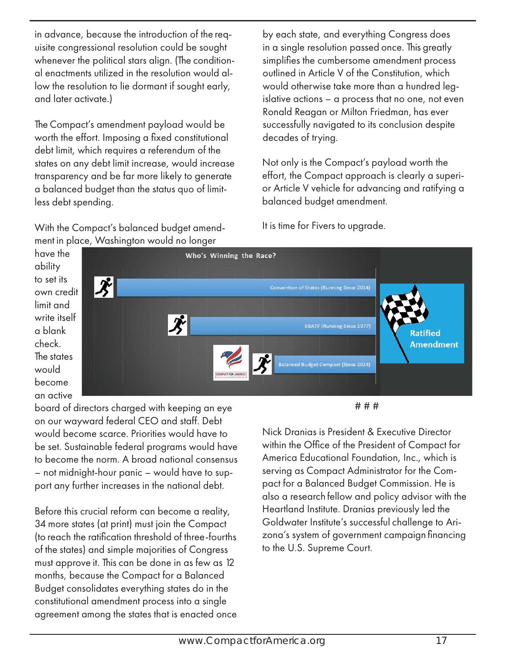in advance, because the introduction of the requisite congressional resolution could be sought whenever the political stars align. (The conditional enactments utilized in the resolution would allow the resolution to lie dormant if sought early, and later activate.)

The Compact's amendment payload would be worth the effort. Imposing a fixed constitutional debt limit, which requires a referendum of the states on any debt limit increase, would increase transparency and be far more likely to generate a balanced budget than the status quo of limitless debt spending.

With the Compact's balanced budget amendment in place, Washington would no longer

by each state, and everything Congress does in a single resolution passed once. This greatly simplifies the cumbersome amendment process outlined in Article V of the Constitution, which would otherwise take more than a hundred legislative actions – a process that no one, not even Ronald Reagan or Milton Friedman, has ever successfully navigated to its conclusion despite decades of trying.

Not only is the Compact's payload worth the effort, the Compact approach is clearly a superior Article V vehicle for advancing and ratifying a balanced budget amendment.

It is time for Fivers to upgrade.



board of directors charged with keeping an eye on our wayward federal CEO and staff. Debt would become scarce. Priorities would have to be set. Sustainable federal programs would have to become the norm. A broad national consensus – not midnight-hour panic – would have to support any further increases in the national debt.

Before this crucial reform can become a reality, 34 more states (at print) must join the Compact (to reach the ratification threshold of three-fourths of the states) and simple majorities of Congress must approve it. This can be done in as few as 12 months, because the Compact for a Balanced Budget consolidates everything states do in the constitutional amendment process into a single agreement among the states that is enacted once

# # #

Nick Dranias is President & Executive Director within the Office of the President of Compact for America Educational Foundation, Inc., which is serving as Compact Administrator for the Compact for a Balanced Budget Commission. He is also a research fellow and policy advisor with the Heartland Institute. Dranias previously led the Goldwater Institute's successful challenge to Arizona's system of government campaign financing to the U.S. Supreme Court.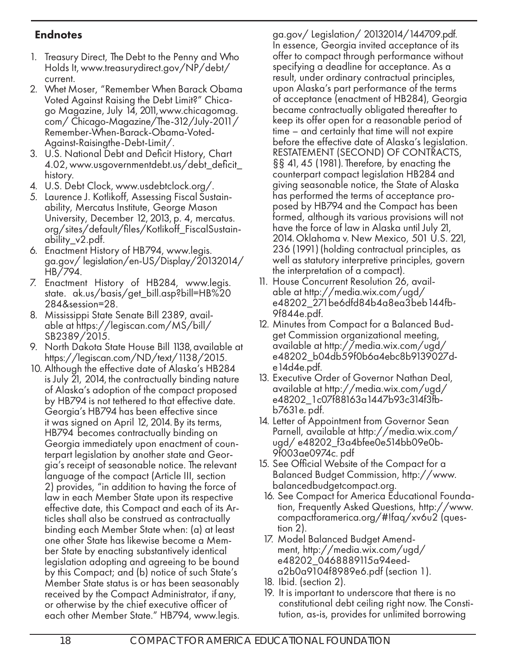#### Endnotes

- 1. Treasury Direct, The Debt to the Penny and Who Holds It, www.treasurydirect.gov/NP/debt/ current.
- 2. Whet Moser, "Remember When Barack Obama Voted Against Raising the Debt Limit?" Chicago Magazine, July 14, 2011, www.chicagomag. com/ Chicago-Magazine/The-312/July-2011/ Remember-When-Barack-Obama-Voted-Against-Raisingthe-Debt-Limit/.
- 3. U.S. National Debt and Deficit History, Chart 4.02, www.usgovernmentdebt.us/debt\_deficit\_ history.
- 4. U.S. Debt Clock, www.usdebtclock.org/.
- 5. Laurence J. Kotlikoff, Assessing Fiscal Sustainability, Mercatus Institute, George Mason University, December 12, 2013, p. 4, mercatus. org/sites/default/files/Kotlikoff\_FiscalSustainability\_v2.pdf.
- 6. Enactment History of HB794, www.legis. ga.gov/ legislation/en-US/Display/20132014/ HB/794.
- 7. Enactment History of HB284, www.legis. state. ak.us/basis/get\_bill.asp?bill=HB%20 284&session=28.
- 8. Mississippi State Senate Bill 2389, available at https://legiscan.com/MS/bill/ SB2389/2015.
- 9. North Dakota State House Bill 1138, available at https://legiscan.com/ND/text/1138/2015.
- 10. Although the effective date of Alaska's HB284 is July 21, 2014, the contractually binding nature of Alaska's adoption of the compact proposed by HB794 is not tethered to that effective date. Georgia's HB794 has been effective since it was signed on April 12, 2014. By its terms, HB794 becomes contractually binding on Georgia immediately upon enactment of counterpart legislation by another state and Georgia's receipt of seasonable notice. The relevant language of the compact (Article III, section 2) provides, "in addition to having the force of law in each Member State upon its respective effective date, this Compact and each of its Articles shall also be construed as contractually binding each Member State when: (a) at least one other State has likewise become a Member State by enacting substantively identical legislation adopting and agreeing to be bound by this Compact; and (b) notice of such State's Member State status is or has been seasonably received by the Compact Administrator, if any, or otherwise by the chief executive officer of each other Member State." HB794, www.legis.

ga.gov/ Legislation/ 20132014/144709.pdf. In essence, Georgia invited acceptance of its offer to compact through performance without specifying a deadline for acceptance. As a result, under ordinary contractual principles, upon Alaska's part performance of the terms of acceptance (enactment of HB284), Georgia became contractually obligated thereafter to keep its offer open for a reasonable period of time – and certainly that time will not expire before the effective date of Alaska's legislation. RESTATEMENT (SECOND) OF CONTRACTS, §§ 41, 45 (1981). Therefore, by enacting the counterpart compact legislation HB284 and giving seasonable notice, the State of Alaska has performed the terms of acceptance proposed by HB794 and the Compact has been formed, although its various provisions will not have the force of law in Alaska until July 21, 2014. Oklahoma v. New Mexico, 501 U.S. 221, 236 (1991) (holding contractual principles, as well as statutory interpretive principles, govern the interpretation of a compact).

- 11. House Concurrent Resolution 26, available at http://media.wix.com/ugd/ e48202\_271be6dfd84b4a8ea3beb144fb-9f844e.pdf.
- 12. Minutes from Compact for a Balanced Budget Commission organizational meeting, available at http://media.wix.com/ugd/ e48202\_b04db59f0b6a4ebc8b9139027de14d4e.pdf.
- 13. Executive Order of Governor Nathan Deal, available at http://media.wix.com/ugd/ e48202\_1c07f88163a1447b93c314f3fbb7631e. pdf.
- 14. Letter of Appointment from Governor Sean Parnell, available at http://media.wix.com/ ugd/ e48202\_f3a4bfee0e514bb09e0b-9f003ae0974c. pdf
- 15. See Official Website of the Compact for a Balanced Budget Commission, http://www. balancedbudgetcompact.org.
- 16. See Compact for America Educational Foundation, Frequently Asked Questions, http://www. compactforamerica.org/#!faq/xv6u2 (question 2).
- 17. Model Balanced Budget Amendment, http://media.wix.com/ugd/ e48202\_0468889115a94eeda2b0a9104f8989e6.pdf (section 1).
- 18. Ibid. (section 2).
- 19. It is important to underscore that there is no constitutional debt ceiling right now. The Constitution, as-is, provides for unlimited borrowing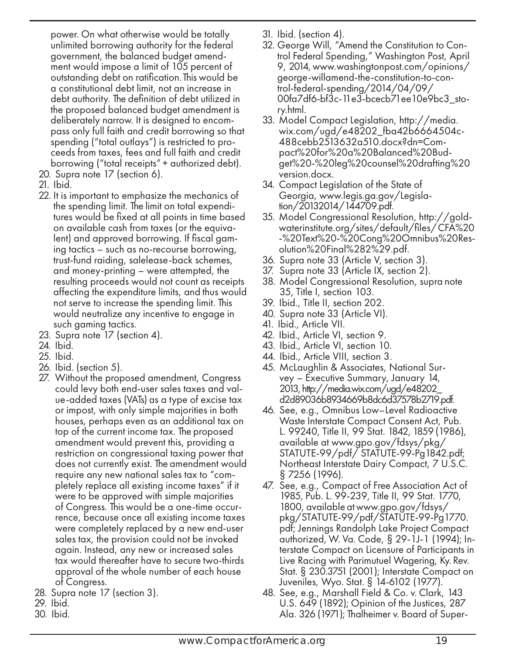power. On what otherwise would be totally unlimited borrowing authority for the federal government, the balanced budget amendment would impose a limit of 105 percent of outstanding debt on ratification. This would be a constitutional debt limit, not an increase in debt authority. The definition of debt utilized in the proposed balanced budget amendment is deliberately narrow. It is designed to encompass only full faith and credit borrowing so that spending ("total outlays") is restricted to proceeds from taxes, fees and full faith and credit borrowing ("total receipts" + authorized debt).

- 20. Supra note 17 (section 6).
- 
- 22. It is important to emphasize the mechanics of the spending limit. The limit on total expenditures would be fixed at all points in time based on available cash from taxes (or the equivalent) and approved borrowing. If fiscal gaming tactics – such as no-recourse borrowing, trust-fund raiding, salelease-back schemes, and money-printing – were attempted, the resulting proceeds would not count as receipts not serve to increase the spending limit. This would neutralize any incentive to engage in such gaming tactics.
- 23. Supra note 17 (section 4).
- 
- 25. Ibid.
- 26. Ibid. (section 5).
- 27. Without the proposed amendment, Congress could levy both end-user sales taxes and value-added taxes (VATs) as a type of excise tax or impost, with only simple majorities in both houses, perhaps even as an additional tax on top of the current income tax. The proposed amendment would prevent this, providing a restriction on congressional taxing power that does not currently exist. The amendment would require any new national sales tax to "completely replace all existing income taxes" if it were to be approved with simple majorities of Congress. This would be a one-time occurrence, because once all existing income taxes were completely replaced by a new end-user sales tax, the provision could not be invoked again. Instead, any new or increased sales tax would thereafter have to secure two-thirds approval of the whole number of each house of Congress.
- 28. Supra note 17 (section 3).
- 
- 
- 
- 21. Ibid.
- affecting the expenditure limits, and thus would
- 
- 24. Ibid.
- 
- 
- 
- 29. Ibid. 30. Ibid.
- 31. Ibid. (section 4).
- 32. George Will, "Amend the Constitution to Control Federal Spending," Washington Post, April 9, 2014, www.washingtonpost.com/opinions/ george-willamend-the-constitution-to-control-federal-spending/2014/04/09/ 00fa7df6-bf3c-11e3-bcecb71ee10e9bc3\_story.html.
- 33. Model Compact Legislation, http://media. wix.com/ugd/e48202\_fba42b6664504c-488cebb2513632a510.docx?dn=Compact%20for%20a%20Balanced%20Budget%20-%20leg%20counsel%20drafting%20 version.docx.
- 34. Compact Legislation of the State of Georgia, www.legis.ga.gov/Legislation/20132014/144709.pdf.
- 35. Model Congressional Resolution, http://goldwaterinstitute.org/sites/default/files/ CFA%20 -%20Text%20-%20Cong%20Omnibus%20Resolution%20Final%282%29.pdf.
- 36. Supra note 33 (Article V, section 3).
- 37. Supra note 33 (Article IX, section 2).
- 38. Model Congressional Resolution, supra note 35, Title I, section 103.
- 39. Ibid., Title II, section 202.
- 40. Supra note 33 (Article VI).
- 41. Ibid., Article VII.
- 42. Ibid., Article VI, section 9.
- 43. Ibid., Article VI, section 10.
- 44. Ibid., Article VIII, section 3.
- 45. McLaughlin & Associates, National Survey – Executive Summary, January 14, 2013, http://media.wix.com/ugd/e48202\_ d2d89036b8934669b8dc6d37578b2719.pdf.
- 46. See, e.g., Omnibus Low–Level Radioactive Waste Interstate Compact Consent Act, Pub. L. 99240, Title II, 99 Stat. 1842, 1859 (1986), available at www.gpo.gov/fdsys/pkg/ STATUTE-99/pdf/ STATUTE-99-Pg1842.pdf; Northeast Interstate Dairy Compact, 7 U.S.C. § 7256 (1996).
- 47. See, e.g., Compact of Free Association Act of 1985, Pub. L. 99-239, Title II, 99 Stat. 1770, 1800, available at www.gpo.gov/fdsys/ pkg/STATUTE-99/pdf/STATUTE-99-Pg1770. pdf; Jennings Randolph Lake Project Compact authorized, W. Va. Code, § 29-1J-1 (1994); Interstate Compact on Licensure of Participants in Live Racing with Parimutuel Wagering, Ky. Rev. Stat. § 230.3751 (2001); Interstate Compact on Juveniles, Wyo. Stat. § 14-6102 (1977).
- 48. See, e.g., Marshall Field & Co. v. Clark, 143 U.S. 649 (1892); Opinion of the Justices, 287 Ala. 326 (1971); Thalheimer v. Board of Super-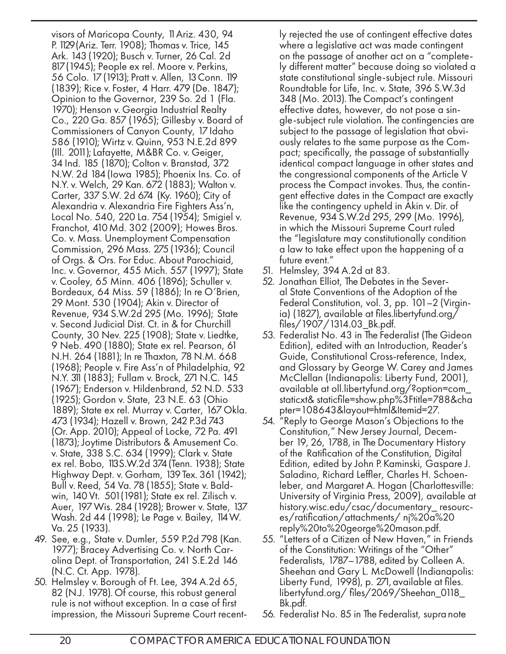visors of Maricopa County, 11 Ariz. 430, 94 P. 1129 (Ariz. Terr. 1908); Thomas v. Trice, 145 Ark. 143 (1920); Busch v. Turner, 26 Cal. 2d 817 (1945); People ex rel. Moore v. Perkins, 56 Colo. 17 (1913); Pratt v. Allen, 13 Conn. 119 (1839); Rice v. Foster, 4 Harr. 479 (De. 1847); Opinion to the Governor, 239 So. 2d 1 (Fla. 1970); Henson v. Georgia Industrial Realty Co., 220 Ga. 857 (1965); Gillesby v. Board of Commissioners of Canyon County, 17 Idaho 586 (1910); Wirtz v. Quinn, 953 N.E.2d 899 (Ill. 2011); Lafayette, M&BR Co. v. Geiger, 34 Ind. 185 (1870); Colton v. Branstad, 372 N.W. 2d 184 (Iowa 1985); Phoenix Ins. Co. of N.Y. v. Welch, 29 Kan. 672 (1883); Walton v. Carter, 337 S.W. 2d 674 (Ky. 1960); City of Alexandria v. Alexandria Fire Fighters Ass'n, Local No. 540, 220 La. 754 (1954); Smigiel v. Franchot, 410 Md. 302 (2009); Howes Bros. Co. v. Mass. Unemployment Compensation Commission, 296 Mass. 275 (1936); Council of Orgs. & Ors. For Educ. About Parochiaid, Inc. v. Governor, 455 Mich. 557 (1997); State v. Cooley, 65 Minn. 406 (1896); Schuller v. Bordeaux, 64 Miss. 59 (1886); In re O'Brien, 29 Mont. 530 (1904); Akin v. Director of Revenue, 934 S.W.2d 295 (Mo. 1996); State v. Second Judicial Dist. Ct. in & for Churchill County, 30 Nev. 225 (1908); State v. Liedtke, 9 Neb. 490 (1880); State ex rel. Pearson, 61 N.H. 264 (1881); In re Thaxton, 78 N.M. 668 (1968); People v. Fire Ass'n of Philadelphia, 92 N.Y. 311 (1883); Fullam v. Brock, 271 N.C. 145 (1967); Enderson v. Hildenbrand, 52 N.D. 533 (1925); Gordon v. State, 23 N.E. 63 (Ohio 1889); State ex rel. Murray v. Carter, 167 Okla. 473 (1934); Hazell v. Brown, 242 P.3d 743 (Or. App. 2010); Appeal of Locke, 72 Pa. 491 (1873); Joytime Distributors & Amusement Co. v. State, 338 S.C. 634 (1999); Clark v. State ex rel. Bobo, 113 S.W.2d 374 (Tenn. 1938); State Highway Dept. v. Gorham, 139 Tex. 361 (1942); Bull v. Reed, 54 Va. 78 (1855); State v. Baldwin, 140 Vt. 501(1981); State ex rel. Zilisch v. Auer, 197 Wis. 284 (1928); Brower v. State, 137 Wash. 2d 44 (1998); Le Page v. Bailey, 114 W. Va. 25 (1933).

- 49. See, e.g., State v. Dumler, 559 P.2d 798 (Kan. 1977); Bracey Advertising Co. v. North Carolina Dept. of Transportation, 241 S.E.2d 146 (N.C. Ct. App. 1978).
- 50. Helmsley v. Borough of Ft. Lee, 394 A.2d 65, 82 (N.J. 1978). Of course, this robust general rule is not without exception. In a case of first impression, the Missouri Supreme Court recent-

ly rejected the use of contingent effective dates where a legislative act was made contingent on the passage of another act on a "completely different matter" because doing so violated a state constitutional single-subject rule. Missouri Roundtable for Life, Inc. v. State, 396 S.W.3d 348 (Mo. 2013). The Compact's contingent effective dates, however, do not pose a single-subject rule violation. The contingencies are subject to the passage of legislation that obviously relates to the same purpose as the Compact; specifically, the passage of substantially identical compact language in other states and the congressional components of the Article V process the Compact invokes. Thus, the contingent effective dates in the Compact are exactly like the contingency upheld in Akin v. Dir. of Revenue, 934 S.W.2d 295, 299 (Mo. 1996), in which the Missouri Supreme Court ruled the "legislature may constitutionally condition a law to take effect upon the happening of a future event."

- 51. Helmsley, 394 A.2d at 83.
- 52. Jonathan Elliot, The Debates in the Several State Conventions of the Adoption of the Federal Constitution, vol. 3, pp. 101–2 (Virginia) (1827), available at files.libertyfund.org/ files/1907/1314.03\_Bk.pdf.
- 53. Federalist No. 43 in The Federalist (The Gideon Edition), edited with an Introduction, Reader's Guide, Constitutional Cross-reference, Index, and Glossary by George W. Carey and James McClellan (Indianapolis: Liberty Fund, 2001), available at oll.libertyfund.org/?option=com\_ staticxt& staticfile=show.php%3Ftitle=788&cha pter=108643&layout=html&Itemid=27.
- 54. "Reply to George Mason's Objections to the Constitution," New Jersey Journal, December 19, 26, 1788, in The Documentary History of the Ratification of the Constitution, Digital Edition, edited by John P. Kaminski, Gaspare J. Saladino, Richard Leffler, Charles H. Schoenleber, and Margaret A. Hogan (Charlottesville: University of Virginia Press, 2009), available at history.wisc.edu/csac/documentary\_ resources/ratification/attachments/ nj%20a%20 reply%20to%20george%20mason.pdf.
- 55. "Letters of a Citizen of New Haven," in Friends of the Constitution: Writings of the "Other" Federalists, 1787–1788, edited by Colleen A. Sheehan and Gary L. McDowell (Indianapolis: Liberty Fund, 1998), p. 271, available at files. libertyfund.org/ files/2069/Sheehan\_0118\_ Bk.pdf.
- 56. Federalist No. 85 in The Federalist, supra note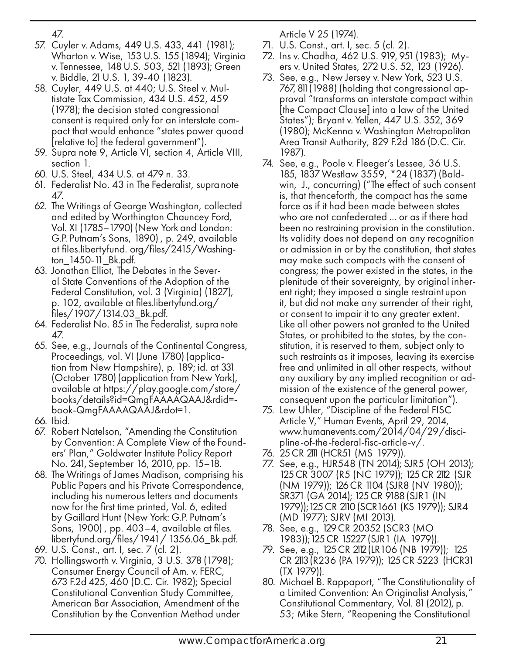47.

- 57. Cuyler v. Adams, 449 U.S. 433, 441 (1981); Wharton v. Wise, 153 U.S. 155 (1894); Virginia v. Tennessee, 148 U.S. 503, 521 (1893); Green v. Biddle, 21 U.S. 1, 39-40 (1823).
- 58. Cuyler, 449 U.S. at 440; U.S. Steel v. Multistate Tax Commission, 434 U.S. 452, 459 (1978); the decision stated congressional consent is required only for an interstate compact that would enhance "states power quoad [relative to] the federal government").
- 59. Supra note 9, Article VI, section 4, Article VIII, section 1.
- 60. U.S. Steel, 434 U.S. at 479 n. 33.
- 61. Federalist No. 43 in The Federalist, supra note 47.
- 62. The Writings of George Washington, collected and edited by Worthington Chauncey Ford, Vol. XI (1785–1790) (New York and London: G.P. Putnam's Sons, 1890) , p. 249, available at files.libertyfund. org/files/2415/Washington\_1450-11\_Bk.pdf.
- 63. Jonathan Elliot, The Debates in the Several State Conventions of the Adoption of the Federal Constitution, vol. 3 (Virginia) (1827), p. 102, available at files.libertyfund.org/ files/1907/1314.03\_Bk.pdf.
- 64. Federalist No. 85 in The Federalist, supra note 47.
- 65. See, e.g., Journals of the Continental Congress, Proceedings, vol. VI (June 1780) (application from New Hampshire), p. 189; id. at 331 (October 1780) (application from New York), available at https://play.google.com/store/ books/details?id=QmgFAAAAQAAJ&rdid= book-QmgFAAAAQAAJ&rdot=1.
- 66. Ibid.
- 67. Robert Natelson, "Amending the Constitution by Convention: A Complete View of the Founders' Plan," Goldwater Institute Policy Report No. 241, September 16, 2010, pp. 15–18.
- 68. The Writings of James Madison, comprising his Public Papers and his Private Correspondence, including his numerous letters and documents now for the first time printed, Vol. 6, edited by Gaillard Hunt (New York: G.P. Putnam's Sons, 1900) , pp. 403–4, available at files. libertyfund.org/files/1941/ 1356.06\_Bk.pdf.
- 69. U.S. Const., art. I, sec. 7 (cl. 2).
- 70. Hollingsworth v. Virginia, 3 U.S. 378 (1798); Consumer Energy Council of Am. v. FERC, 673 F.2d 425, 460 (D.C. Cir. 1982); Special Constitutional Convention Study Committee, American Bar Association, Amendment of the Constitution by the Convention Method under

Article V 25 (1974).

- 71. U.S. Const., art. I, sec. 5 (cl. 2).
- 72. Ins v. Chadha, 462 U.S. 919, 951 (1983); Myers v. United States, 272 U.S. 52, 123 (1926).
- 73. See, e.g., New Jersey v. New York, 523 U.S. 767, 811 (1988) (holding that congressional approval "transforms an interstate compact within [the Compact Clause] into a law of the United States"); Bryant v. Yellen, 447 U.S. 352, 369 (1980); McKenna v. Washington Metropolitan Area Transit Authority, 829 F.2d 186 (D.C. Cir. 1987).
- 74. See, e.g., Poole v. Fleeger's Lessee, 36 U.S. 185, 1837 Westlaw 3559, \*24 (1837) (Baldwin, J., concurring) ("The effect of such consent is, that thenceforth, the compact has the same force as if it had been made between states who are not confederated ... or as if there had been no restraining provision in the constitution. Its validity does not depend on any recognition or admission in or by the constitution, that states may make such compacts with the consent of congress; the power existed in the states, in the plenitude of their sovereignty, by original inherent right; they imposed a single restraint upon it, but did not make any surrender of their right, or consent to impair it to any greater extent. Like all other powers not granted to the United States, or prohibited to the states, by the constitution, it is reserved to them, subject only to such restraints as it imposes, leaving its exercise free and unlimited in all other respects, without any auxiliary by any implied recognition or admission of the existence of the general power, consequent upon the particular limitation").
- 75. Lew Uhler, "Discipline of the Federal FISC Article V," Human Events, April 29, 2014, www.humanevents.com/2014/04/29/discipline-of-the-federal-fisc-article-v/.
- 76. 25 CR 2111 (HCR51 (MS 1979)).
- 77. See, e.g., HJR548 (TN 2014); SJR5 (OH 2013); 125 CR 3007 (R5 (NC 1979)); 125 CR 2112 (SJR (NM 1979)); 126 CR 1104 (SJR8 (NV 1980)); SR371 (GA 2014); 125 CR 9188 (SJR1 (IN 1979));125 CR 2110 (SCR1661 (KS 1979)); SJR4 (MD 1977); SJRV (MI 2013).
- 78. See, e.g., 129 CR 20352 (SCR3 (MO 1983));125 CR 15227 (SJR1 (IA 1979)).
- 79. See, e.g., 125 CR 2112 (LR106 (NB 1979)); 125 CR 2113 (R236 (PA 1979)); 125 CR 5223 (HCR31 (TX 1979)).
- 80. Michael B. Rappaport, "The Constitutionality of a Limited Convention: An Originalist Analysis," Constitutional Commentary, Vol. 81 (2012), p. 53; Mike Stern, "Reopening the Constitutional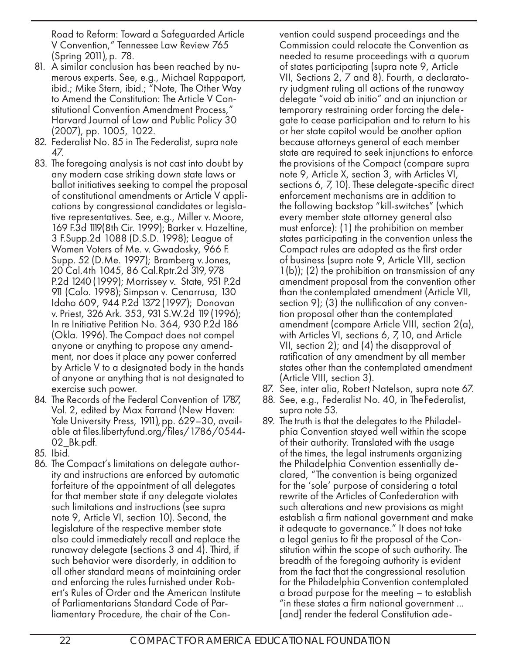Road to Reform: Toward a Safeguarded Article V Convention," Tennessee Law Review 765 (Spring 2011), p. 78.

- 81. A similar conclusion has been reached by numerous experts. See, e.g., Michael Rappaport, ibid.; Mike Stern, ibid.; "Note, The Other Way to Amend the Constitution: The Article V Constitutional Convention Amendment Process," Harvard Journal of Law and Public Policy 30 (2007), pp. 1005, 1022.
- 82. Federalist No. 85 in The Federalist, supra note 47.
- 83. The foregoing analysis is not cast into doubt by any modern case striking down state laws or ballot initiatives seeking to compel the proposal of constitutional amendments or Article V applications by congressional candidates or legislative representatives. See, e.g., Miller v. Moore, 169 F.3d 1119 (8th Cir. 1999); Barker v. Hazeltine, 3 F.Supp.2d 1088 (D.S.D. 1998); League of Women Voters of Me. v. Gwadosky, 966 F. Supp. 52 (D.Me. 1997); Bramberg v. Jones, 20 Cal.4th 1045, 86 Cal.Rptr.2d 319, 978 P.2d 1240 (1999); Morrissey v. State, 951 P.2d 911 (Colo. 1998); Simpson v. Cenarrusa, 130 Idaho 609, 944 P.2d 1372 (1997); Donovan v. Priest, 326 Ark. 353, 931 S.W.2d 119 (1996); In re Initiative Petition No. 364, 930 P.2d 186 (Okla. 1996). The Compact does not compel anyone or anything to propose any amendment, nor does it place any power conferred by Article V to a designated body in the hands of anyone or anything that is not designated to exercise such power.
- 84. The Records of the Federal Convention of 1787, Vol. 2, edited by Max Farrand (New Haven: Yale University Press, 1911), pp. 629–30, available at files.libertyfund.org/files/1786/0544- 02\_Bk.pdf.
- 85. Ibid.
- 86. The Compact's limitations on delegate authority and instructions are enforced by automatic forfeiture of the appointment of all delegates for that member state if any delegate violates such limitations and instructions (see supra note 9, Article VI, section 10). Second, the legislature of the respective member state also could immediately recall and replace the runaway delegate (sections 3 and 4). Third, if such behavior were disorderly, in addition to all other standard means of maintaining order and enforcing the rules furnished under Robert's Rules of Order and the American Institute of Parliamentarians Standard Code of Parliamentary Procedure, the chair of the Con-

vention could suspend proceedings and the Commission could relocate the Convention as needed to resume proceedings with a quorum of states participating (supra note 9, Article VII, Sections 2, 7 and 8). Fourth, a declaratory judgment ruling all actions of the runaway delegate "void ab initio" and an injunction or temporary restraining order forcing the delegate to cease participation and to return to his or her state capitol would be another option because attorneys general of each member state are required to seek injunctions to enforce the provisions of the Compact (compare supra note 9, Article X, section 3, with Articles VI, sections 6, 7, 10). These delegate-specific direct enforcement mechanisms are in addition to the following backstop "kill-switches" (which every member state attorney general also must enforce): (1) the prohibition on member states participating in the convention unless the Compact rules are adopted as the first order of business (supra note 9, Article VIII, section 1(b)); (2) the prohibition on transmission of any amendment proposal from the convention other than the contemplated amendment (Article VII, section 9); (3) the nullification of any convention proposal other than the contemplated amendment (compare Article VIII, section 2(a), with Articles VI, sections 6, 7, 10, and Article VII, section 2); and (4) the disapproval of ratification of any amendment by all member states other than the contemplated amendment (Article VIII, section 3).

- 87. See, inter alia, Robert Natelson, supra note 67.
- 88. See, e.g., Federalist No. 40, in The Federalist, supra note 53.
- 89. The truth is that the delegates to the Philadelphia Convention stayed well within the scope of their authority. Translated with the usage of the times, the legal instruments organizing the Philadelphia Convention essentially declared, "The convention is being organized for the 'sole' purpose of considering a total rewrite of the Articles of Confederation with such alterations and new provisions as might establish a firm national government and make it adequate to governance." It does not take a legal genius to fit the proposal of the Constitution within the scope of such authority. The breadth of the foregoing authority is evident from the fact that the congressional resolution for the Philadelphia Convention contemplated a broad purpose for the meeting – to establish "in these states a firm national government ... [and] render the federal Constitution ade-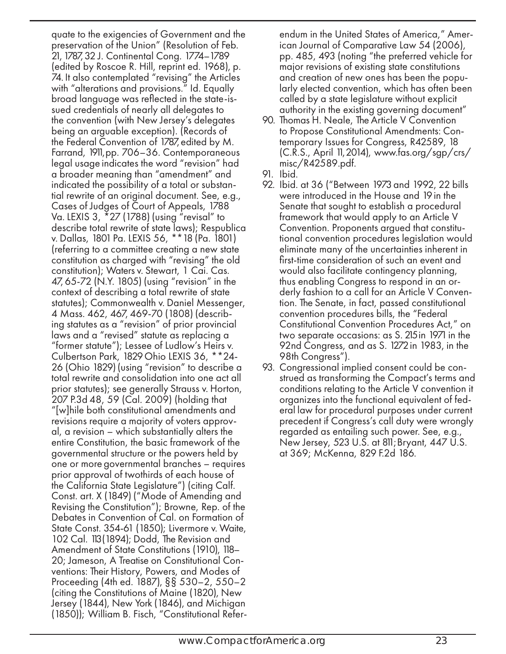quate to the exigencies of Government and the preservation of the Union" (Resolution of Feb. 21, 1787, 32 J. Continental Cong. 1774–1789 (edited by Roscoe R. Hill, reprint ed. 1968), p. 74. It also contemplated "revising" the Articles with "alterations and provisions." Id. Equally broad language was reflected in the state-issued credentials of nearly all delegates to the convention (with New Jersey's delegates being an arguable exception). (Records of the Federal Convention of 1787, edited by M. Farrand, 1911, pp. 706–36. Contemporaneous legal usage indicates the word "revision" had a broader meaning than "amendment" and indicated the possibility of a total or substantial rewrite of an original document. See, e.g., Cases of Judges of Court of Appeals, 1788 Va. LEXIS 3, \*27 (1788) (using "revisal" to describe total rewrite of state laws); Respublica v. Dallas, 1801 Pa. LEXIS 56, \*\*18 (Pa. 1801) (referring to a committee creating a new state constitution as charged with "revising" the old constitution); Waters v. Stewart, 1 Cai. Cas. 47, 65-72 (N.Y. 1805) (using "revision" in the context of describing a total rewrite of state statutes); Commonwealth v. Daniel Messenger, 4 Mass. 462, 467, 469-70 (1808) (describing statutes as a "revision" of prior provincial laws and a "revised" statute as replacing a "former statute"); Lessee of Ludlow's Heirs v. Culbertson Park, 1829 Ohio LEXIS 36, \*\*24- 26 (Ohio 1829) (using "revision" to describe a total rewrite and consolidation into one act all prior statutes); see generally Strauss v. Horton, 207 P.3d 48, 59 (Cal. 2009) (holding that "[w]hile both constitutional amendments and revisions require a majority of voters approval, a revision – which substantially alters the entire Constitution, the basic framework of the governmental structure or the powers held by one or more governmental branches – requires prior approval of twothirds of each house of the California State Legislature") (citing Calf. Const. art. X (1849) ("Mode of Amending and Revising the Constitution"); Browne, Rep. of the Debates in Convention of Cal. on Formation of State Const. 354-61 (1850); Livermore v. Waite, 102 Cal. 113 (1894); Dodd, The Revision and Amendment of State Constitutions (1910), 118– 20; Jameson, A Treatise on Constitutional Conventions: Their History, Powers, and Modes of Proceeding (4th ed. 1887), §§ 530–2, 550–2 (citing the Constitutions of Maine (1820), New Jersey (1844), New York (1846), and Michigan (1850)); William B. Fisch, "Constitutional Referendum in the United States of America," American Journal of Comparative Law 54 (2006), pp. 485, 493 (noting "the preferred vehicle for major revisions of existing state constitutions and creation of new ones has been the popularly elected convention, which has often been called by a state legislature without explicit authority in the existing governing document"

- 90. Thomas H. Neale, The Article V Convention to Propose Constitutional Amendments: Contemporary Issues for Congress, R42589, 18 (C.R.S., April 11, 2014), www.fas.org/sgp/crs/ misc/R42589.pdf.
- 91. Ibid.
- 92. Ibid. at 36 ("Between 1973 and 1992, 22 bills were introduced in the House and 19 in the Senate that sought to establish a procedural framework that would apply to an Article V Convention. Proponents argued that constitutional convention procedures legislation would eliminate many of the uncertainties inherent in first-time consideration of such an event and would also facilitate contingency planning, thus enabling Congress to respond in an orderly fashion to a call for an Article V Convention. The Senate, in fact, passed constitutional convention procedures bills, the "Federal Constitutional Convention Procedures Act," on two separate occasions: as S. 215 in 1971 in the 92nd Congress, and as S. 1272 in 1983, in the 98th Congress").
- 93. Congressional implied consent could be construed as transforming the Compact's terms and conditions relating to the Article V convention it organizes into the functional equivalent of federal law for procedural purposes under current precedent if Congress's call duty were wrongly regarded as entailing such power. See, e.g., New Jersey, 523 U.S. at 811; Bryant, 447 U.S. at 369; McKenna, 829 F.2d 186.